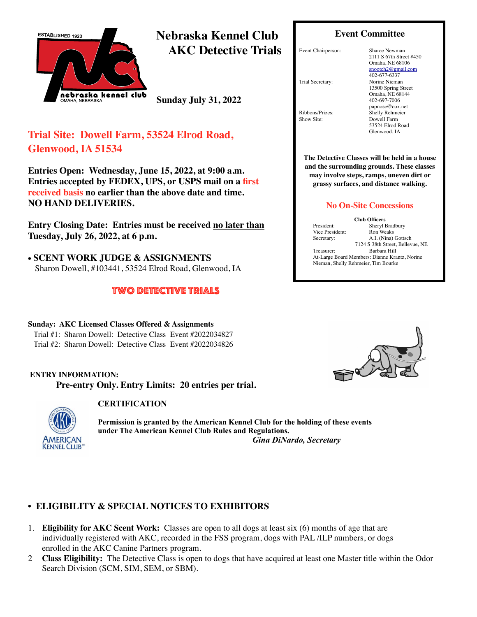

**Nebraska Kennel Club AKC Detective Trials** 

**Sunday July 31, 2022**

# **Trial Site: Dowell Farm, 53524 Elrod Road, Glenwood, IA 51534**

**Entries Open: Wednesday, June 15, 2022, at 9:00 a.m. Entries accepted by FEDEX, UPS, or USPS mail on a first received basis no earlier than the above date and time. NO HAND DELIVERIES.**

**Entry Closing Date: Entries must be received no later than Tuesday, July 26, 2022, at 6 p.m.**

• **SCENT WORK JUDGE & ASSIGNMENTS** Sharon Dowell, #103441, 53524 Elrod Road, Glenwood, IA

### two detective trials

#### **Sunday: AKC Licensed Classes Offered & Assignments** Trial #1:Sharon Dowell:Detective Class Event #2022034827 Trial #2:Sharon Dowell:Detective Class Event #2022034826

#### **ENTRY INFORMATION: Pre-entry Only. Entry Limits: 20 entries per trial.**



### **CERTIFICATION**

**Permission is granted by the American Kennel Club for the holding of these events under The American Kennel Club Rules and Regulations.**  *Gina DiNardo, Secretary*

# **• ELIGIBILITY & SPECIAL NOTICES TO EXHIBITORS**

- 1. **Eligibility for AKC Scent Work:** Classes are open to all dogs at least six (6) months of age that are individually registered with AKC, recorded in the FSS program, dogs with PAL /ILP numbers, or dogs enrolled in the AKC Canine Partners program.
- 2 **Class Eligibility:** The Detective Class is open to dogs that have acquired at least one Master title within the Odor Search Division (SCM, SIM, SEM, or SBM).

### **Event Committee**

Event Chairperson: Sharee Newman

2111 S 67th Street #450 Omaha, NE 68106 [snootch2@gmail.com](mailto:snootch2@gmail.com) 402-677-6337 Trial Secretary: Norine Nieman 13500 Spring Street Omaha, NE 68144 402-697-7006 [papnose@cox.net](mailto:nanieman@cox.net) Ribbons/Prizes: Shelly Rehmeier<br>Show Site: Dowell Farm Dowell Farm 53524 Elrod Road Glenwood, IA

**The Detective Classes will be held in a house and the surrounding grounds. These classes may involve steps, ramps, uneven dirt or grassy surfaces, and distance walking.** 

#### **No On-Site Concessions**

Vice President:<br>Secretary:

**Club Officers** President: Sheryl Bradbury<br>Vice President: Ron Weaks A.I. (Nina) Gottsch 7124 S 38th Street, Bellevue, NE Treasurer: Barbara Hill At-Large Board Members: Dianne Krantz, Norine Nieman, Shelly Rehmeier, Tim Bourke

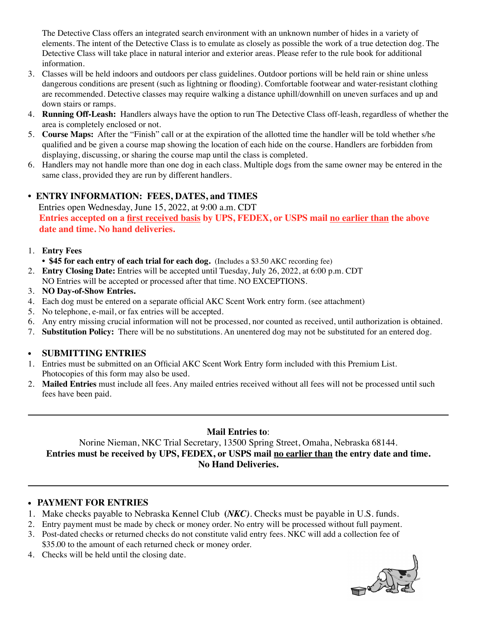The Detective Class offers an integrated search environment with an unknown number of hides in a variety of elements. The intent of the Detective Class is to emulate as closely as possible the work of a true detection dog. The Detective Class will take place in natural interior and exterior areas. Please refer to the rule book for additional information.

- 3. Classes will be held indoors and outdoors per class guidelines. Outdoor portions will be held rain or shine unless dangerous conditions are present (such as lightning or flooding). Comfortable footwear and water-resistant clothing are recommended. Detective classes may require walking a distance uphill/downhill on uneven surfaces and up and down stairs or ramps.
- 4. **Running Off-Leash:** Handlers always have the option to run The Detective Class off-leash, regardless of whether the area is completely enclosed or not.
- 5. **Course Maps:** After the "Finish" call or at the expiration of the allotted time the handler will be told whether s/he qualified and be given a course map showing the location of each hide on the course. Handlers are forbidden from displaying, discussing, or sharing the course map until the class is completed.
- 6. Handlers may not handle more than one dog in each class. Multiple dogs from the same owner may be entered in the same class, provided they are run by different handlers.

### **• ENTRY INFORMATION: FEES, DATES, and TIMES**

Entries open Wednesday, June 15, 2022, at 9:00 a.m. CDT **Entries accepted on a first received basis by UPS, FEDEX, or USPS mail no earlier than the above date and time. No hand deliveries.**

#### 1. **Entry Fees**

- **\$45 for each entry of each trial for each dog.** (Includes a \$3.50 AKC recording fee)
- 2. **Entry Closing Date:** Entries will be accepted until Tuesday, July 26, 2022, at 6:00 p.m. CDT NO Entries will be accepted or processed after that time. NO EXCEPTIONS.
- 3. **NO Day-of-Show Entries.**
- 4. Each dog must be entered on a separate official AKC Scent Work entry form. (see attachment)
- 5. No telephone, e-mail, or fax entries will be accepted.
- 6. Any entry missing crucial information will not be processed, nor counted as received, until authorization is obtained.
- 7. **Substitution Policy:** There will be no substitutions. An unentered dog may not be substituted for an entered dog.

#### • **SUBMITTING ENTRIES**

- 1. Entries must be submitted on an Official AKC Scent Work Entry form included with this Premium List. Photocopies of this form may also be used.
- 2. **Mailed Entries** must include all fees. Any mailed entries received without all fees will not be processed until such fees have been paid.

# **Mail Entries to**:

Norine Nieman, NKC Trial Secretary, 13500 Spring Street, Omaha, Nebraska 68144. **Entries must be received by UPS, FEDEX, or USPS mail no earlier than the entry date and time. No Hand Deliveries.**

#### • **PAYMENT FOR ENTRIES**

- 1. Make checks payable to Nebraska Kennel Club **(***NKC)*. Checks must be payable in U.S. funds.
- 2. Entry payment must be made by check or money order. No entry will be processed without full payment.
- 3. Post-dated checks or returned checks do not constitute valid entry fees. NKC will add a collection fee of \$35.00 to the amount of each returned check or money order.
- 4. Checks will be held until the closing date.

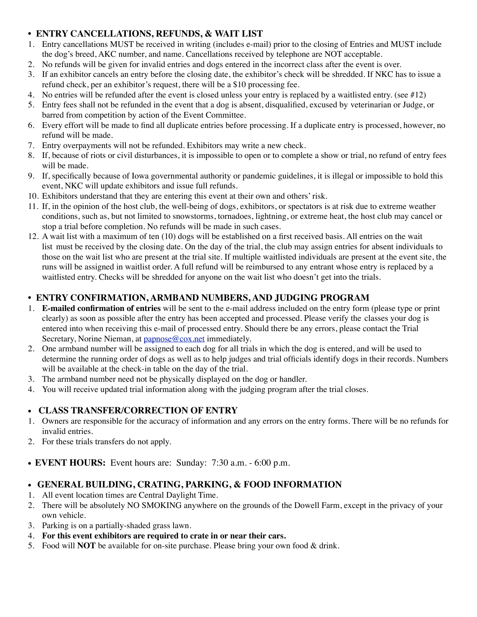# **• ENTRY CANCELLATIONS, REFUNDS, & WAIT LIST**

- 1. Entry cancellations MUST be received in writing (includes e-mail) prior to the closing of Entries and MUST include the dog's breed, AKC number, and name. Cancellations received by telephone are NOT acceptable.
- 2. No refunds will be given for invalid entries and dogs entered in the incorrect class after the event is over.
- 3. If an exhibitor cancels an entry before the closing date, the exhibitor's check will be shredded. If NKC has to issue a refund check, per an exhibitor's request, there will be a \$10 processing fee.
- 4. No entries will be refunded after the event is closed unless your entry is replaced by a waitlisted entry. (see  $\#12$ )
- 5. Entry fees shall not be refunded in the event that a dog is absent, disqualified, excused by veterinarian or Judge, or barred from competition by action of the Event Committee.
- 6. Every effort will be made to find all duplicate entries before processing. If a duplicate entry is processed, however, no refund will be made.
- 7. Entry overpayments will not be refunded. Exhibitors may write a new check.
- 8. If, because of riots or civil disturbances, it is impossible to open or to complete a show or trial, no refund of entry fees will be made.
- 9. If, specifically because of Iowa governmental authority or pandemic guidelines, it is illegal or impossible to hold this event, NKC will update exhibitors and issue full refunds.
- 10. Exhibitors understand that they are entering this event at their own and others' risk.
- 11. If, in the opinion of the host club, the well-being of dogs, exhibitors, or spectators is at risk due to extreme weather conditions, such as, but not limited to snowstorms, tornadoes, lightning, or extreme heat, the host club may cancel or stop a trial before completion. No refunds will be made in such cases.
- 12. A wait list with a maximum of ten (10) dogs will be established on a first received basis. All entries on the wait list must be received by the closing date. On the day of the trial, the club may assign entries for absent individuals to those on the wait list who are present at the trial site. If multiple waitlisted individuals are present at the event site, the runs will be assigned in waitlist order. A full refund will be reimbursed to any entrant whose entry is replaced by a waitlisted entry. Checks will be shredded for anyone on the wait list who doesn't get into the trials.

# **• ENTRY CONFIRMATION, ARMBAND NUMBERS, AND JUDGING PROGRAM**

- 1. **E-mailed confirmation of entries** will be sent to the e-mail address included on the entry form (please type or print clearly) as soon as possible after the entry has been accepted and processed. Please verify the classes your dog is entered into when receiving this e-mail of processed entry. Should there be any errors, please contact the Trial Secretary, Norine Nieman, at [papnose@cox.net](mailto:nanieman@cox.net) immediately.
- 2. One armband number will be assigned to each dog for all trials in which the dog is entered, and will be used to determine the running order of dogs as well as to help judges and trial officials identify dogs in their records. Numbers will be available at the check-in table on the day of the trial.
- 3. The armband number need not be physically displayed on the dog or handler.
- 4. You will receive updated trial information along with the judging program after the trial closes.

# • **CLASS TRANSFER/CORRECTION OF ENTRY**

- 1. Owners are responsible for the accuracy of information and any errors on the entry forms. There will be no refunds for invalid entries.
- 2. For these trials transfers do not apply.
- **EVENT HOURS:** Event hours are: Sunday: 7:30 a.m. 6:00 p.m.

# • **GENERAL BUILDING, CRATING, PARKING, & FOOD INFORMATION**

- 1. All event location times are Central Daylight Time.
- 2. There will be absolutely NO SMOKING anywhere on the grounds of the Dowell Farm, except in the privacy of your own vehicle.
- 3. Parking is on a partially-shaded grass lawn.
- 4. **For this event exhibitors are required to crate in or near their cars.**
- 5. Food will **NOT** be available for on-site purchase. Please bring your own food & drink.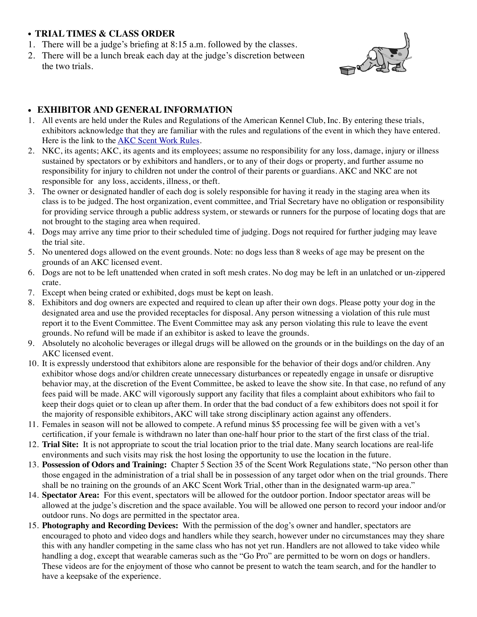### • **TRIAL TIMES & CLASS ORDER**

- 1. There will be a judge's briefing at 8:15 a.m. followed by the classes.
- 2. There will be a lunch break each day at the judge's discretion between the two trials.



### • **EXHIBITOR AND GENERAL INFORMATION**

- 1. All events are held under the Rules and Regulations of the American Kennel Club, Inc. By entering these trials, exhibitors acknowledge that they are familiar with the rules and regulations of the event in which they have entered. Here is the link to the **AKC Scent Work Rules**.
- 2. NKC, its agents; AKC, its agents and its employees; assume no responsibility for any loss, damage, injury or illness sustained by spectators or by exhibitors and handlers, or to any of their dogs or property, and further assume no responsibility for injury to children not under the control of their parents or guardians. AKC and NKC are not responsible for any loss, accidents, illness, or theft.
- 3. The owner or designated handler of each dog is solely responsible for having it ready in the staging area when its class is to be judged. The host organization, event committee, and Trial Secretary have no obligation or responsibility for providing service through a public address system, or stewards or runners for the purpose of locating dogs that are not brought to the staging area when required.
- 4. Dogs may arrive any time prior to their scheduled time of judging. Dogs not required for further judging may leave the trial site.
- 5. No unentered dogs allowed on the event grounds. Note: no dogs less than 8 weeks of age may be present on the grounds of an AKC licensed event.
- 6. Dogs are not to be left unattended when crated in soft mesh crates. No dog may be left in an unlatched or un-zippered crate.
- 7. Except when being crated or exhibited, dogs must be kept on leash.
- 8. Exhibitors and dog owners are expected and required to clean up after their own dogs. Please potty your dog in the designated area and use the provided receptacles for disposal. Any person witnessing a violation of this rule must report it to the Event Committee. The Event Committee may ask any person violating this rule to leave the event grounds. No refund will be made if an exhibitor is asked to leave the grounds.
- 9. Absolutely no alcoholic beverages or illegal drugs will be allowed on the grounds or in the buildings on the day of an AKC licensed event.
- 10. It is expressly understood that exhibitors alone are responsible for the behavior of their dogs and/or children. Any exhibitor whose dogs and/or children create unnecessary disturbances or repeatedly engage in unsafe or disruptive behavior may, at the discretion of the Event Committee, be asked to leave the show site. In that case, no refund of any fees paid will be made. AKC will vigorously support any facility that files a complaint about exhibitors who fail to keep their dogs quiet or to clean up after them. In order that the bad conduct of a few exhibitors does not spoil it for the majority of responsible exhibitors, AKC will take strong disciplinary action against any offenders.
- 11. Females in season will not be allowed to compete. A refund minus \$5 processing fee will be given with a vet's certification, if your female is withdrawn no later than one-half hour prior to the start of the first class of the trial.
- 12. **Trial Site:** It is not appropriate to scout the trial location prior to the trial date. Many search locations are real-life environments and such visits may risk the host losing the opportunity to use the location in the future.
- 13. **Possession of Odors and Training:** Chapter 5 Section 35 of the Scent Work Regulations state, "No person other than those engaged in the administration of a trial shall be in possession of any target odor when on the trial grounds. There shall be no training on the grounds of an AKC Scent Work Trial, other than in the designated warm-up area."
- 14. **Spectator Area:** For this event, spectators will be allowed for the outdoor portion. Indoor spectator areas will be allowed at the judge's discretion and the space available. You will be allowed one person to record your indoor and/or outdoor runs. No dogs are permitted in the spectator area.
- 15. **Photography and Recording Devices:** With the permission of the dog's owner and handler, spectators are encouraged to photo and video dogs and handlers while they search, however under no circumstances may they share this with any handler competing in the same class who has not yet run. Handlers are not allowed to take video while handling a dog, except that wearable cameras such as the "Go Pro" are permitted to be worn on dogs or handlers. These videos are for the enjoyment of those who cannot be present to watch the team search, and for the handler to have a keepsake of the experience.